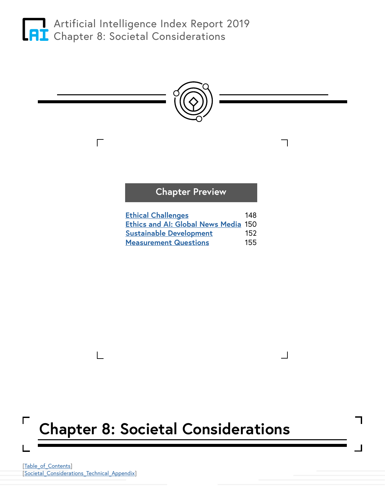<span id="page-0-0"></span>



 $\Box$ 

# **Chapter 8: Societal Considerations**

[[Table\\_of\\_Contents](#page--1-0)] [[Societal\\_Considerations\\_Technical\\_Appendix\]](#page--1-0)

Г

 $\Box$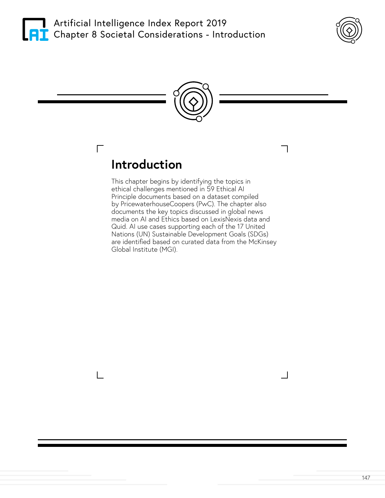

Artificial Intelligence Index Report 2019 **T** Chapter 8 Societal Considerations - Introduction





## **Introduction**

 $\Box$ 

This chapter begins by identifying the topics in ethical challenges mentioned in 59 Ethical AI Principle documents based on a dataset compiled by PricewaterhouseCoopers (PwC). The chapter also documents the key topics discussed in global news media on AI and Ethics based on LexisNexis data and Quid. AI use cases supporting each of the 17 United Nations (UN) Sustainable Development Goals (SDGs) are identified based on curated data from the McKinsey Global Institute (MGI).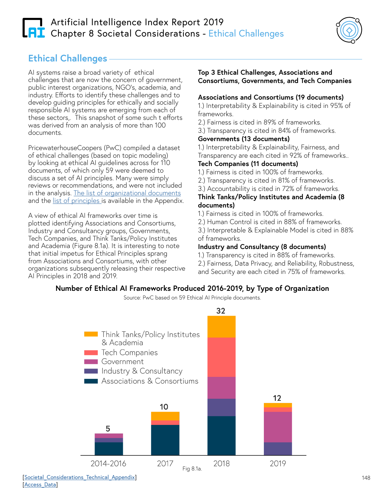## <span id="page-2-0"></span>**Artificial Intelligence Index Report 2019 CHAPT** Chapter 8 [Societal Considerations](#page-0-0) - Ethical Challenges



### **Ethical Challenges**

AI systems raise a broad variety of ethical challenges that are now the concern of government, public interest organizations, NGO's, academia, and industry. Efforts to identify these challenges and to develop guiding principles for ethically and socially responsible AI systems are emerging from each of these sectors,. This snapshot of some such t efforts was derived from an analysis of more than 100 documents.

PricewaterhouseCoopers (PwC) compiled a dataset of ethical challenges (based on topic modeling) by looking at ethical AI guidelines across for 110 documents, of which only 59 were deemed to discuss a set of AI principles. Many were simply reviews or recommendations, and were not included in the analysis. [The list of organizational documents](#page--1-0) and the [list of principles](#page--1-0) is available in the Appendix.

A view of ethical AI frameworks over time is plotted identifying Associations and Consortiums, Industry and Consultancy groups, Governments, Tech Companies, and Think Tanks/Policy Institutes and Academia (Figure 8.1a). It is interesting to note that initial impetus for Ethical Principles sprang from Associations and Consortiums, with other organizations subsequently releasing their respective AI Principles in 2018 and 2019.

#### **Top 3 Ethical Challenges, Associations and Consortiums, Governments, and Tech Companies**

#### **Associations and Consortiums (19 documents)**

1.) Interpretability & Explainability is cited in 95% of frameworks.

2.) Fairness is cited in 89% of frameworks.

3.) Transparency is cited in 84% of frameworks.

#### **Governments (13 documents)**

1.) Interpretability & Explainability, Fairness, and Transparency are each cited in 92% of frameworks..

### **Tech Companies (11 documents)**

1.) Fairness is cited in 100% of frameworks.

2.) Transparency is cited in 81% of frameworks.

3.) Accountability is cited in 72% of frameworks.

#### **Think Tanks/Policy Institutes and Academia (8 documents)**

1.) Fairness is cited in 100% of frameworks.

2.) Human Control is cited in 88% of frameworks.

3.) Interpretable & Explainable Model is cited in 88% of frameworks.

### **Industry and Consultancy (8 documents)**

1.) Transparency is cited in 88% of frameworks.

2.) Fairness, Data Privacy, and Reliability, Robustness, and Security are each cited in 75% of frameworks.

### **Number of Ethical AI Frameworks Produced 2016-2019, by Type of Organization**

Source: PwC based on 59 Ethical AI Principle documents.

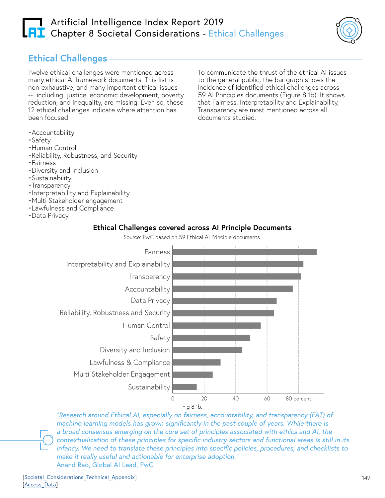## Artificial Intelligence Index Report 2019 **LAI** Chapter 8 [Societal Considerations](#page-0-0) - Ethical Challenges



To communicate the thrust of the ethical AI issues to the general public, the bar graph shows the incidence of identified ethical challenges across 59 AI Principles documents (Figure 8.1b). It shows that Fairness, Interpretability and Explainability, Transparency are most mentioned across all

documents studied.

### **Ethical Challenges**

Twelve ethical challenges were mentioned across many ethical AI framework documents. This list is non-exhaustive, and many important ethical issues -- including justice, economic development, poverty reduction, and inequality, are missing. Even so, these 12 ethical challenges indicate where attention has been focused:

- •Accountability
- •Safety
- •Human Control
- •Reliability, Robustness, and Security
- •Fairness
- •Diversity and Inclusion
- •Sustainability
- •Transparency
- •Interpretability and Explainability
- •Multi Stakeholder engagement
- •Lawfulness and Compliance
- •Data Privacy

### **Ethical Challenges covered across AI Principle Documents**



*"Research around Ethical AI, especially on fairness, accountability, and transparency (FAT) of machine learning models has grown significantly in the past couple of years. While there is a broad consensus emerging on the core set of principles associated with ethics and AI, the contextualization of these principles for specific industry sectors and functional areas is still in its infancy. We need to translate these principles into specific policies, procedures, and checklists to make it really useful and actionable for enterprise adoption."* Anand Rao, Global AI Lead, PwC

[Societal Considerations Technical Appendix] [Access\\_Data](https://drive.google.com/open?id=1KI6ChkGJtkh3hOjW80vjFRYr1RFvLJvD)]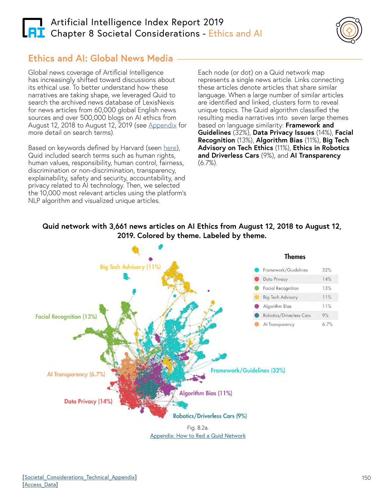## <span id="page-4-0"></span>Artificial Intelligence Index Report 2019 **Chapter 8 Societal Considerations - Ethics and AI**



### **Ethics and AI: Global News Media**

Global news coverage of Artificial Intelligence has increasingly shifted toward discussions about its ethical use. To better understand how these narratives are taking shape, we leveraged Quid to search the archived news database of LexisNexis for news articles from 60,000 global English news sources and over 500,000 blogs on AI ethics from August 12, 2018 to August 12, 2019 (see [Appendix](#page--1-0) for more detail on search terms).

Based on keywords defined by Harvard (seen [here\)](https://ai-hr.cyber.harvard.edu/primp-viz.html), Quid included search terms such as human rights, human values, responsibility, human control, fairness, discrimination or non-discrimination, transparency, explainability, safety and security, accountability, and privacy related to AI technology. Then, we selected the 10,000 most relevant articles using the platform's NLP algorithm and visualized unique articles.

Each node (or dot) on a Quid network map represents a single news article. Links connecting these articles denote articles that share similar language. When a large number of similar articles are identified and linked, clusters form to reveal unique topics. The Quid algorithm classified the resulting media narratives into seven large themes based on language similarity: **Framework and Guidelines** (32%), **Data Privacy Issues** (14%), **Facial Recognition** (13%), **Algorithm Bias** (11%), **Big Tech Advisory on Tech Ethics** (11%), **Ethics in Robotics and Driverless Cars** (9%), and **AI Transparency** (6.7%).



### **Quid network with 3,661 news articles on AI Ethics from August 12, 2018 to August 12, 2019. Colored by theme. Labeled by theme.**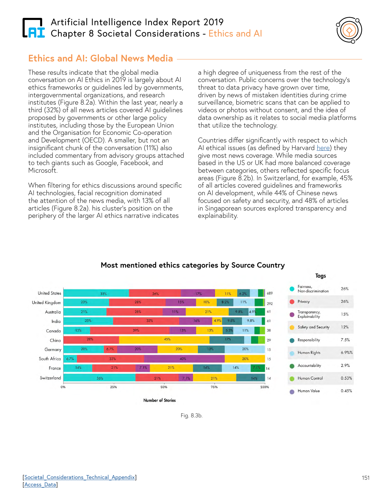## Artificial Intelligence Index Report 2019 **Chapter 8 [Societal Considerations](#page-0-0) - Ethics and AI**



### **Ethics and AI: Global News Media**

These results indicate that the global media conversation on AI Ethics in 2019 is largely about AI ethics frameworks or guidelines led by governments, intergovernmental organizations, and research institutes (Figure 8.2a). Within the last year, nearly a third (32%) of all news articles covered AI guidelines proposed by governments or other large policy institutes, including those by the European Union and the Organisation for Economic Co-operation and Development (OECD). A smaller, but not an insignificant chunk of the conversation (11%) also included commentary from advisory groups attached to tech giants such as Google, Facebook, and Microsoft.

When filtering for ethics discussions around specific AI technologies, facial recognition dominated the attention of the news media, with 13% of all articles (Figure 8.2a). his cluster's position on the periphery of the larger AI ethics narrative indicates

a high degree of uniqueness from the rest of the conversation. Public concerns over the technology's threat to data privacy have grown over time, driven by news of mistaken identities during crime surveillance, biometric scans that can be applied to videos or photos without consent, and the idea of data ownership as it relates to social media platforms that utilize the technology.

Countries differ significantly with respect to which AI ethical issues (as defined by Harvard [here\)](https://ai-hr.cyber.harvard.edu/primp-viz.html) they give most news coverage. While media sources based in the US or UK had more balanced coverage between categories, others reflected specific focus areas (Figure 8.2b). In Switzerland, for example, 45% of all articles covered guidelines and frameworks on AI development, while 44% of Chinese news focused on safety and security, and 48% of articles in Singaporean sources explored transparency and explainability.

**Tags** 



### **Most mentioned ethics categories by Source Country**

**Number of Stories** 

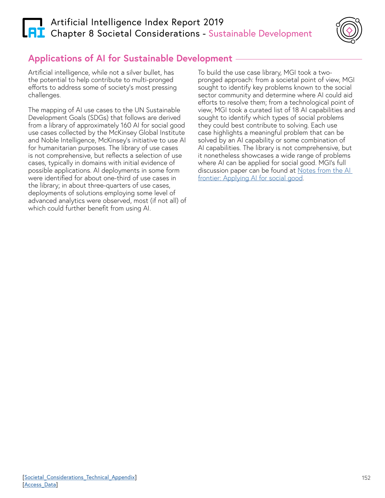## <span id="page-6-0"></span>Artificial Intelligence Index Report 2019 Chapter 8 [Societal Considerations](#page-0-0) - Sustainable Development



## **Applications of AI for Sustainable Development**

Artificial intelligence, while not a silver bullet, has the potential to help contribute to multi-pronged efforts to address some of society's most pressing challenges.

The mapping of AI use cases to the UN Sustainable Development Goals (SDGs) that follows are derived from a library of approximately 160 AI for social good use cases collected by the McKinsey Global Institute and Noble Intelligence, McKinsey's initiative to use AI for humanitarian purposes. The library of use cases is not comprehensive, but reflects a selection of use cases, typically in domains with initial evidence of possible applications. AI deployments in some form were identified for about one-third of use cases in the library; in about three-quarters of use cases, deployments of solutions employing some level of advanced analytics were observed, most (if not all) of which could further benefit from using AI.

To build the use case library, MGI took a twopronged approach: from a societal point of view, MGI sought to identify key problems known to the social sector community and determine where AI could aid efforts to resolve them; from a technological point of view, MGI took a curated list of 18 AI capabilities and sought to identify which types of social problems they could best contribute to solving. Each use case highlights a meaningful problem that can be solved by an AI capability or some combination of AI capabilities. The library is not comprehensive, but it nonetheless showcases a wide range of problems where AI can be applied for social good. MGI's full discussion paper can be found at [Notes from the AI](https://www.mckinsey.com/~/media/McKinsey/Featured Insights/Artificial Intelligence/Applying artificial intelligence for social good/MGI-Applying-AI-for-social-good-Discussion-paper-Dec-2018.ashx)  [frontier: Applying AI for social good.](https://www.mckinsey.com/~/media/McKinsey/Featured Insights/Artificial Intelligence/Applying artificial intelligence for social good/MGI-Applying-AI-for-social-good-Discussion-paper-Dec-2018.ashx)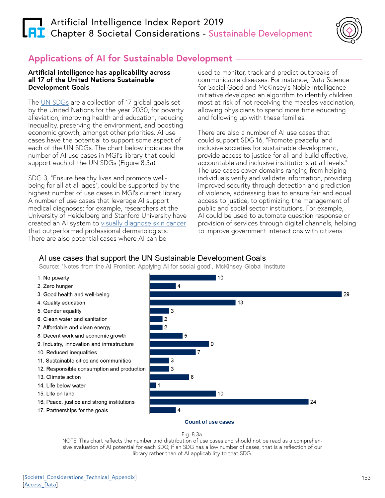## **Artificial Intelligence Index Report 2019 LAI** Chapter 8 [Societal Considerations](#page-0-0) - Sustainable Development



### **Applications of AI for Sustainable Development**

#### **Artificial intelligence has applicability across all 17 of the United Nations Sustainable Development Goals**

The [UN SDGs](https://www.un.org/sustainabledevelopment/sustainable-development-goals/) are a collection of 17 global goals set by the United Nations for the year 2030, for poverty alleviation, improving health and education, reducing inequality, preserving the environment, and boosting economic growth, amongst other priorities. AI use cases have the potential to support some aspect of each of the UN SDGs. The chart below indicates the number of AI use cases in MGI's library that could support each of the UN SDGs (Figure 8.3a).

SDG 3, "Ensure healthy lives and promote wellbeing for all at all ages", could be supported by the highest number of use cases in MGI's current library. A number of use cases that leverage AI support medical diagnoses: for example, researchers at the University of Heidelberg and Stanford University have created an AI system to [visually diagnose skin cancer](https://www.nature.com/articles/nature21056) that outperformed professional dermatologists. There are also potential cases where AI can be

used to monitor, track and predict outbreaks of communicable diseases. For instance, Data Science for Social Good and McKinsey's Noble Intelligence initiative developed an algorithm to identify children most at risk of not receiving the measles vaccination, allowing physicians to spend more time educating and following up with these families.

individuals verify and validate information, providing improved security through detection and prediction of violence, addressing bias to ensure fair and equal access to justice, to optimizing the management of AI could be used to automate question response or provision of services through digital channels, helping

### AI use cases that support the UN Sustainable Development Goals

Source: 'Notes from the AI Frontier: Applying AI for social good', McKinsey Global Institute

- 1. No poverty
- 2. Zero hunger
- 3. Good health and well-being
- 4. Quality education
- 5. Gender equality
- 6. Clean water and sanitation
- 7. Affordable and clean energy
- 8. Decent work and economic growth
- 9. Industry, innovation and infrastructure
- 10. Reduced inequalities
- 11. Sustainable cities and communities
- 12. Responsible consumption and production
- 13. Climate action
- 14. Life below water
- 15. Life on land
- 16. Peace, justice and strong institutions
- 17. Partnerships for the goals





#### **Count of use cases**

Fig. 8.3a.

NOTE: This chart reflects the number and distribution of use cases and should not be read as a comprehensive evaluation of AI potential for each SDG; if an SDG has a low number of cases, that is a reflection of our library rather than of AI applicability to that SDG.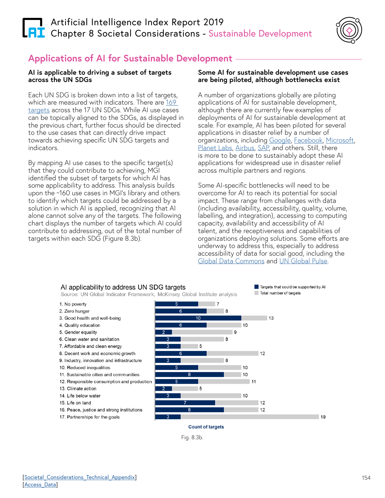## Artificial Intelligence Index Report 2019 **CHRI** Chapter 8 [Societal Considerations](#page-0-0) - Sustainable Development



### **Applications of AI for Sustainable Development**

#### **AI is applicable to driving a subset of targets across the UN SDGs**

Each UN SDG is broken down into a list of targets, which are measured with indicators. There are [169](https://unstats.un.org/sdgs/indicators/indicators-list/)  [targets](https://unstats.un.org/sdgs/indicators/indicators-list/) across the 17 UN SDGs. While AI use cases can be topically aligned to the SDGs, as displayed in the previous chart, further focus should be directed to the use cases that can directly drive impact towards achieving specific UN SDG targets and indicators.

By mapping AI use cases to the specific target(s) that they could contribute to achieving, MGI identified the subset of targets for which AI has some applicability to address. This analysis builds upon the ~160 use cases in MGI's library and others to identify which targets could be addressed by a solution in which AI is applied, recognizing that AI alone cannot solve any of the targets. The following chart displays the number of targets which AI could contribute to addressing, out of the total number of targets within each SDG (Figure 8.3b).

#### **Some AI for sustainable development use cases are being piloted, although bottlenecks exist**

A number of organizations globally are piloting applications of AI for sustainable development, although there are currently few examples of deployments of AI for sustainable development at scale. For example, AI has been piloted for several applications in disaster relief by a number of organizations, including [Google](https://blog.google/technology/ai/tracking-our-progress-on-flood-forecasting/), [Facebook](https://engineering.fb.com/ai-research/satellite-imagery/), [Microsoft](https://www.microsoft.com/en-us/ai/ai-for-humanitarian-action), [Planet Labs](https://www.planet.com/insights/anatomy-of-a-catastrophe/), [Airbus,](https://www.airbus.com/newsroom/topics-in-focus/Crisis-response.html) [SAP,](https://medium.com/sap-innovation-spotlight/for-united-nations-ai-is-a-magical-tool-for-faster-disaster-relief-3b1cb505748d) and others. Still, there is more to be done to sustainably adopt these AI applications for widespread use in disaster relief across multiple partners and regions.

Some AI-specific bottlenecks will need to be overcome for AI to reach its potential for social impact. These range from challenges with data (including availability, accessibility, quality, volume, labelling, and integration), accessing to computing capacity, availability and accessibility of AI talent, and the receptiveness and capabilities of organizations deploying solutions. Some efforts are underway to address this, especially to address accessibility of data for social good, including the [Global Data Commons](http://thefuturesociety.org/2019/11/05/the-global-data-commons-gdc/) and [UN Global Pulse.](https://www.unglobalpulse.org/)